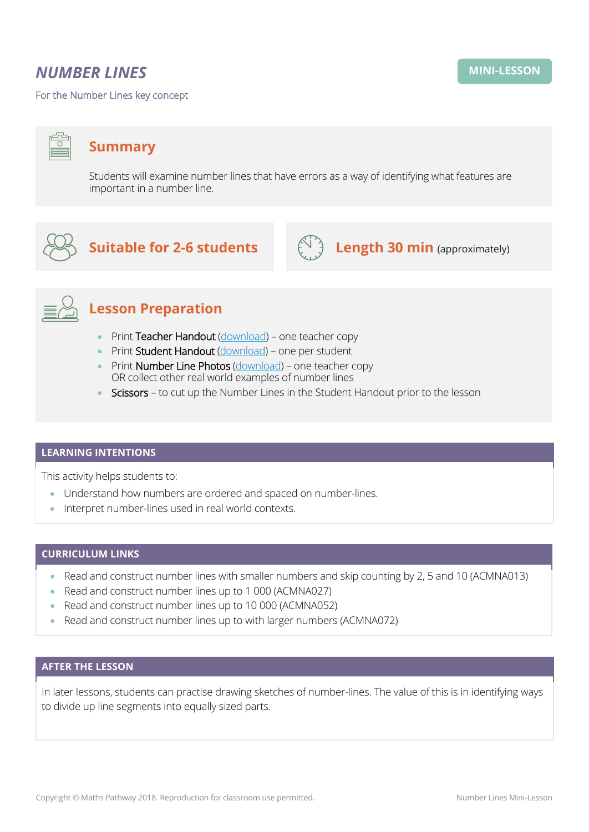## *NUMBER LINES*

For the Number Lines key concept

Students will examine number lines that have errors as a way of identifying what features are important in a number line.



**Suitable for 2-6 students**  $\left(\bigcup_{i=1}^{n} A_i\right)$  **Length 30 min** (approximately)





# **Lesson Preparation**

- Print Teacher Handout [\(download\)](https://mpcontent.blob.core.windows.net/mini-lesson-resources/Number%20Lines%20-%20Teacher%20Handout.pdf) one teacher copy
- Print Student Handout [\(download\)](https://mpcontent.blob.core.windows.net/mini-lesson-resources/Number%20Lines%20-%20Student%20Handout.pdf) one per student
- Print Number Line Photos [\(download\)](https://mpcontent.blob.core.windows.net/mini-lesson-resources/Number%20Lines%20-%20Photos.pdf) one teacher copy OR collect other real world examples of number lines
- Scissors to cut up the Number Lines in the Student Handout prior to the lesson

### **LEARNING INTENTIONS**

This activity helps students to:

- Understand how numbers are ordered and spaced on number-lines.
- Interpret number-lines used in real world contexts.

## **CURRICULUM LINKS**

- Read and construct number lines with smaller numbers and skip counting by 2, 5 and 10 (ACMNA013)
- Read and construct number lines up to 1 000 (ACMNA027)
- Read and construct number lines up to 10 000 (ACMNA052)
- Read and construct number lines up to with larger numbers (ACMNA072)

#### **AFTER THE LESSON**

In later lessons, students can practise drawing sketches of number-lines. The value of this is in identifying ways to divide up line segments into equally sized parts.